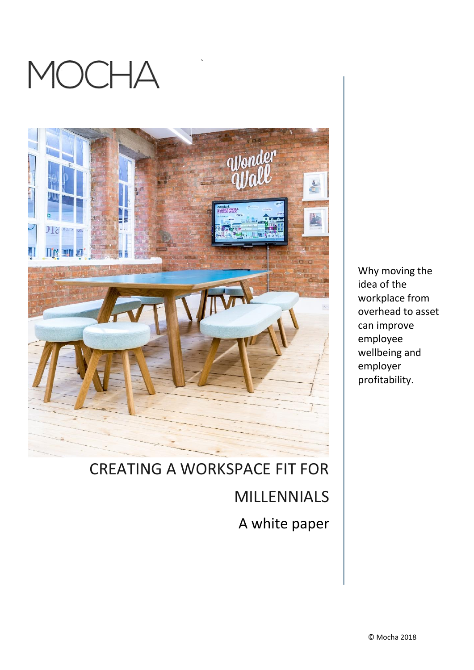



`

Why moving the idea of the workplace from overhead to asset can improve employee wellbeing and employer profitability.

# CREATING A WORKSPACE FIT FOR MILLENNIALS A white paper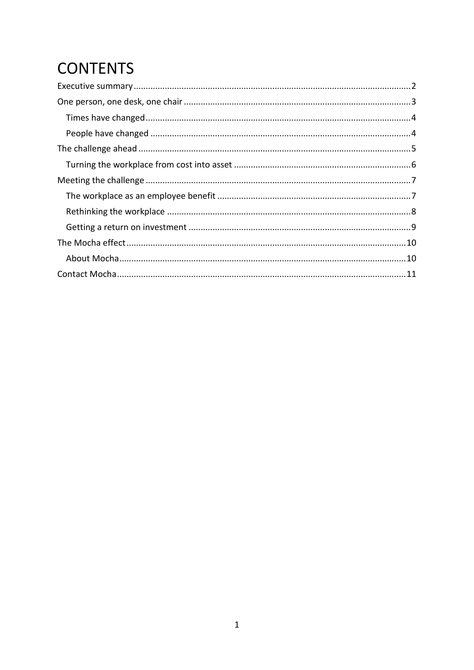## **CONTENTS**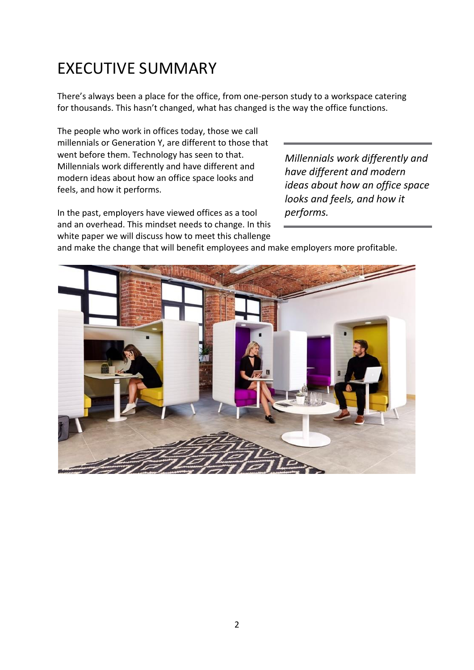### <span id="page-2-0"></span>EXECUTIVE SUMMARY

There's always been a place for the office, from one-person study to a workspace catering for thousands. This hasn't changed, what has changed is the way the office functions.

The people who work in offices today, those we call millennials or Generation Y, are different to those that went before them. Technology has seen to that. Millennials work differently and have different and modern ideas about how an office space looks and feels, and how it performs.

In the past, employers have viewed offices as a tool and an overhead. This mindset needs to change. In this white paper we will discuss how to meet this challenge *Millennials work differently and have different and modern ideas about how an office space looks and feels, and how it performs.*

and make the change that will benefit employees and make employers more profitable.

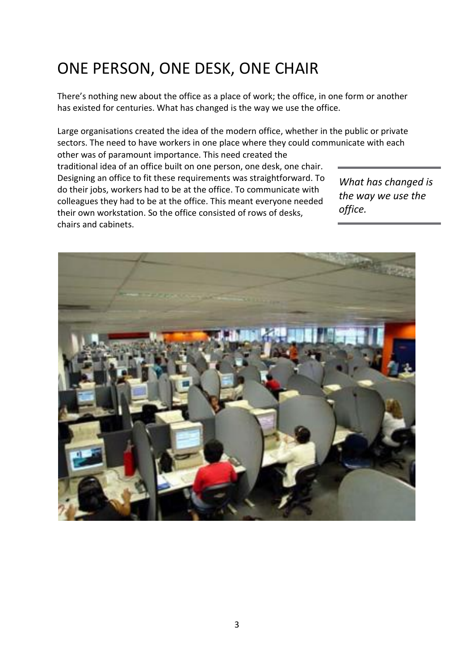### <span id="page-3-0"></span>ONE PERSON, ONE DESK, ONE CHAIR

There's nothing new about the office as a place of work; the office, in one form or another has existed for centuries. What has changed is the way we use the office.

Large organisations created the idea of the modern office, whether in the public or private sectors. The need to have workers in one place where they could communicate with each other was of paramount importance. This need created the

traditional idea of an office built on one person, one desk, one chair. Designing an office to fit these requirements was straightforward. To do their jobs, workers had to be at the office. To communicate with colleagues they had to be at the office. This meant everyone needed their own workstation. So the office consisted of rows of desks, chairs and cabinets.

*What has changed is the way we use the office.*

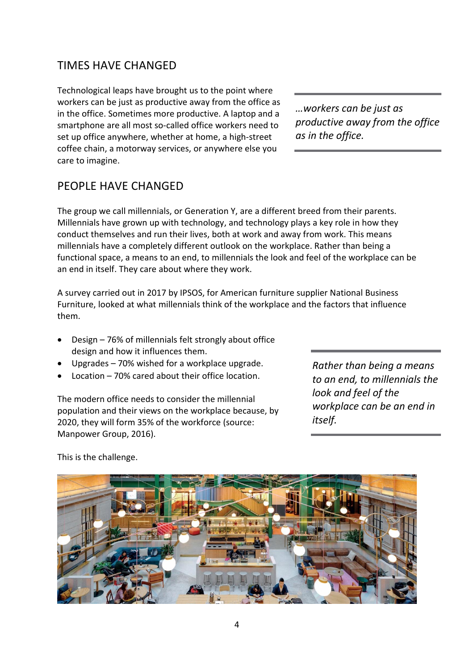#### <span id="page-4-0"></span>TIMES HAVE CHANGED

Technological leaps have brought us to the point where workers can be just as productive away from the office as in the office. Sometimes more productive. A laptop and a smartphone are all most so-called office workers need to set up office anywhere, whether at home, a high-street coffee chain, a motorway services, or anywhere else you care to imagine.

#### <span id="page-4-1"></span>PEOPLE HAVE CHANGED

The group we call millennials, or Generation Y, are a different breed from their parents. Millennials have grown up with technology, and technology plays a key role in how they conduct themselves and run their lives, both at work and away from work. This means millennials have a completely different outlook on the workplace. Rather than being a functional space, a means to an end, to millennials the look and feel of the workplace can be an end in itself. They care about where they work.

A survey carried out in 2017 by IPSOS, for American furniture supplier National Business Furniture, looked at what millennials think of the workplace and the factors that influence them.

- Design 76% of millennials felt strongly about office design and how it influences them.
- Upgrades 70% wished for a workplace upgrade.
- Location 70% cared about their office location.

The modern office needs to consider the millennial population and their views on the workplace because, by 2020, they will form 35% of the workforce (source: Manpower Group, 2016).

*Rather than being a means to an end, to millennials the look and feel of the workplace can be an end in itself.*



This is the challenge.

*…workers can be just as productive away from the office as in the office.*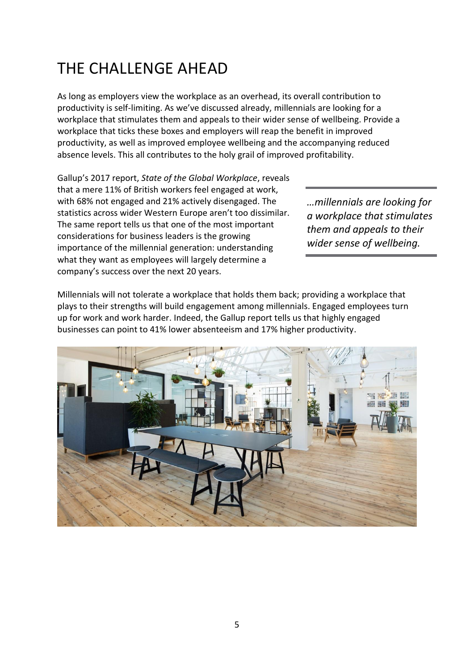### <span id="page-5-0"></span>THE CHALLENGE AHEAD

As long as employers view the workplace as an overhead, its overall contribution to productivity is self-limiting. As we've discussed already, millennials are looking for a workplace that stimulates them and appeals to their wider sense of wellbeing. Provide a workplace that ticks these boxes and employers will reap the benefit in improved productivity, as well as improved employee wellbeing and the accompanying reduced absence levels. This all contributes to the holy grail of improved profitability.

Gallup's 2017 report, *State of the Global Workplace*, reveals that a mere 11% of British workers feel engaged at work, with 68% not engaged and 21% actively disengaged. The statistics across wider Western Europe aren't too dissimilar. The same report tells us that one of the most important considerations for business leaders is the growing importance of the millennial generation: understanding what they want as employees will largely determine a company's success over the next 20 years.

*…millennials are looking for a workplace that stimulates them and appeals to their wider sense of wellbeing.*

Millennials will not tolerate a workplace that holds them back; providing a workplace that plays to their strengths will build engagement among millennials. Engaged employees turn up for work and work harder. Indeed, the Gallup report tells us that highly engaged businesses can point to 41% lower absenteeism and 17% higher productivity.

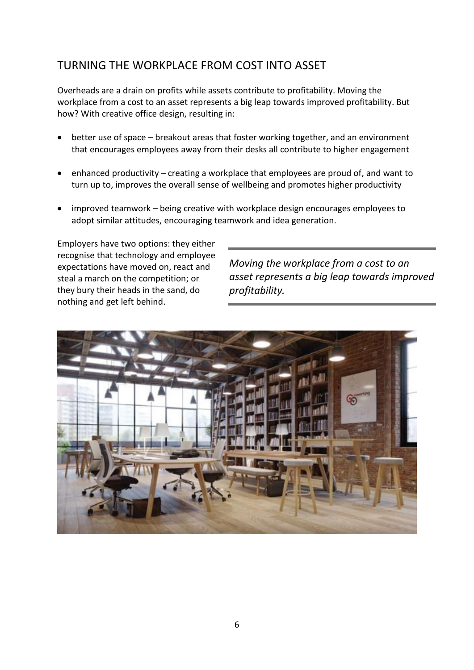### <span id="page-6-0"></span>TURNING THE WORKPLACE FROM COST INTO ASSET

Overheads are a drain on profits while assets contribute to profitability. Moving the workplace from a cost to an asset represents a big leap towards improved profitability. But how? With creative office design, resulting in:

- better use of space breakout areas that foster working together, and an environment that encourages employees away from their desks all contribute to higher engagement
- enhanced productivity creating a workplace that employees are proud of, and want to turn up to, improves the overall sense of wellbeing and promotes higher productivity
- improved teamwork being creative with workplace design encourages employees to adopt similar attitudes, encouraging teamwork and idea generation.

Employers have two options: they either recognise that technology and employee expectations have moved on, react and steal a march on the competition; or they bury their heads in the sand, do nothing and get left behind.

*Moving the workplace from a cost to an asset represents a big leap towards improved profitability.*

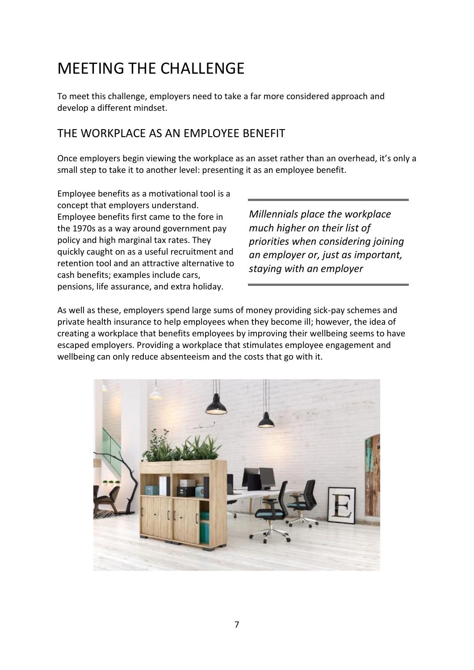### <span id="page-7-0"></span>MEETING THE CHALLENGE

To meet this challenge, employers need to take a far more considered approach and develop a different mindset.

#### <span id="page-7-1"></span>THE WORKPLACE AS AN EMPLOYEE BENEFIT

Once employers begin viewing the workplace as an asset rather than an overhead, it's only a small step to take it to another level: presenting it as an employee benefit.

Employee benefits as a motivational tool is a concept that employers understand. Employee benefits first came to the fore in the 1970s as a way around government pay policy and high marginal tax rates. They quickly caught on as a useful recruitment and retention tool and an attractive alternative to cash benefits; examples include cars, pensions, life assurance, and extra holiday.

*Millennials place the workplace much higher on their list of priorities when considering joining an employer or, just as important, staying with an employer*

As well as these, employers spend large sums of money providing sick-pay schemes and private health insurance to help employees when they become ill; however, the idea of creating a workplace that benefits employees by improving their wellbeing seems to have escaped employers. Providing a workplace that stimulates employee engagement and wellbeing can only reduce absenteeism and the costs that go with it.

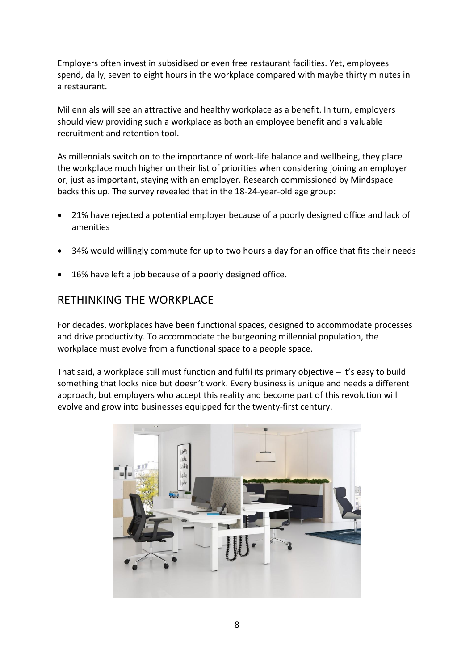Employers often invest in subsidised or even free restaurant facilities. Yet, employees spend, daily, seven to eight hours in the workplace compared with maybe thirty minutes in a restaurant.

Millennials will see an attractive and healthy workplace as a benefit. In turn, employers should view providing such a workplace as both an employee benefit and a valuable recruitment and retention tool.

As millennials switch on to the importance of work-life balance and wellbeing, they place the workplace much higher on their list of priorities when considering joining an employer or, just as important, staying with an employer. Research commissioned by Mindspace backs this up. The survey revealed that in the 18-24-year-old age group:

- 21% have rejected a potential employer because of a poorly designed office and lack of amenities
- 34% would willingly commute for up to two hours a day for an office that fits their needs
- 16% have left a job because of a poorly designed office.

#### <span id="page-8-0"></span>RETHINKING THE WORKPLACE

For decades, workplaces have been functional spaces, designed to accommodate processes and drive productivity. To accommodate the burgeoning millennial population, the workplace must evolve from a functional space to a people space.

That said, a workplace still must function and fulfil its primary objective – it's easy to build something that looks nice but doesn't work. Every business is unique and needs a different approach, but employers who accept this reality and become part of this revolution will evolve and grow into businesses equipped for the twenty-first century.

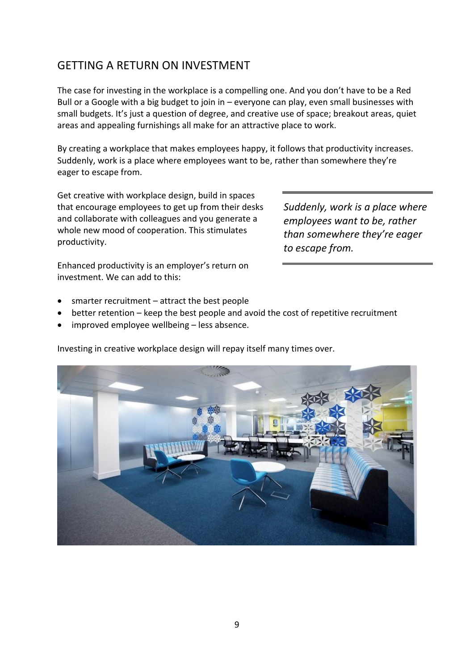#### <span id="page-9-0"></span>GETTING A RETURN ON INVESTMENT

The case for investing in the workplace is a compelling one. And you don't have to be a Red Bull or a Google with a big budget to join in – everyone can play, even small businesses with small budgets. It's just a question of degree, and creative use of space; breakout areas, quiet areas and appealing furnishings all make for an attractive place to work.

By creating a workplace that makes employees happy, it follows that productivity increases. Suddenly, work is a place where employees want to be, rather than somewhere they're eager to escape from.

Get creative with workplace design, build in spaces that encourage employees to get up from their desks and collaborate with colleagues and you generate a whole new mood of cooperation. This stimulates productivity.

*Suddenly, work is a place where employees want to be, rather than somewhere they're eager to escape from.*

Enhanced productivity is an employer's return on investment. We can add to this:

- smarter recruitment attract the best people
- better retention keep the best people and avoid the cost of repetitive recruitment
- improved employee wellbeing less absence.

Investing in creative workplace design will repay itself many times over.

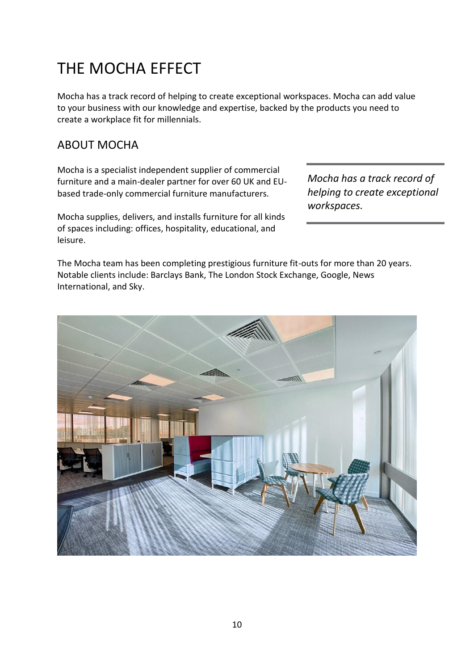### <span id="page-10-0"></span>THE MOCHA EFFECT

Mocha has a track record of helping to create exceptional workspaces. Mocha can add value to your business with our knowledge and expertise, backed by the products you need to create a workplace fit for millennials.

#### <span id="page-10-1"></span>ABOUT MOCHA

Mocha is a specialist independent supplier of commercial furniture and a main-dealer partner for over 60 UK and EUbased trade-only commercial furniture manufacturers.

Mocha supplies, delivers, and installs furniture for all kinds of spaces including: offices, hospitality, educational, and leisure.

*Mocha has a track record of helping to create exceptional workspaces.*

The Mocha team has been completing prestigious furniture fit-outs for more than 20 years. Notable clients include: Barclays Bank, The London Stock Exchange, Google, News International, and Sky.